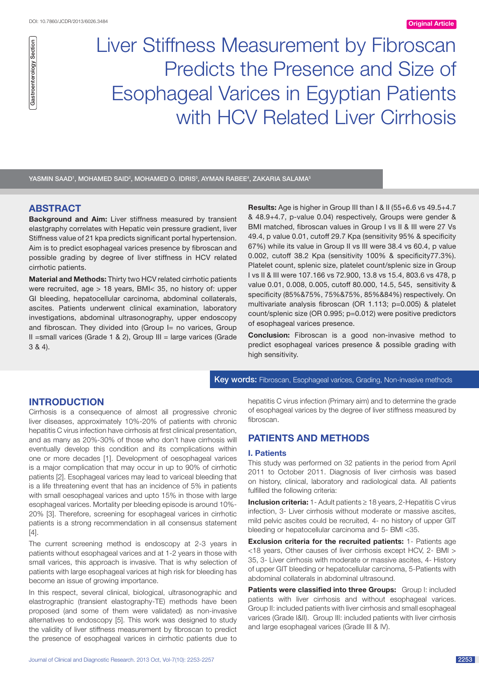

Liver Stiffness Measurement by Fibroscan Predicts the Presence and Size of Esophageal Varices in Egyptian Patients with HCV Related Liver Cirrhosis

YASMIN SAAD', MOHAMED SAID<sup>2</sup>, MOHAMED O. IDRIS<sup>3</sup>, AYMAN RABEE<sup>4</sup>, ZAKARIA SALAMA<sup>5</sup>

# **ABSTRACT**

**Background and Aim:** Liver stiffness measured by transient elastgraphy correlates with Hepatic vein pressure gradient, liver Stiffness value of 21 kpa predicts significant portal hypertension. Aim is to predict esophageal varices presence by fibroscan and possible grading by degree of liver stiffness in HCV related cirrhotic patients.

**Material and Methods:** Thirty two HCV related cirrhotic patients were recruited, age > 18 years, BMI< 35, no history of: upper GI bleeding, hepatocellular carcinoma, abdominal collaterals, ascites. Patients underwent clinical examination, laboratory investigations, abdominal ultrasonography, upper endoscopy and fibroscan. They divided into (Group I= no varices, Group II =small varices (Grade 1 & 2), Group III = large varices (Grade 3 & 4).

**Results:** Age is higher in Group III than I & II (55+6.6 vs 49.5+4.7 & 48.9+4.7, p-value 0.04) respectively, Groups were gender & BMI matched, fibroscan values in Group I vs II & III were 27 Vs 49.4, p value 0.01, cutoff 29.7 Kpa (sensitivity 95% & specificity 67%) while its value in Group II vs III were 38.4 vs 60.4, p value 0.002, cutoff 38.2 Kpa (sensitivity 100% & specificity77.3%). Platelet count, splenic size, platelet count/splenic size in Group I vs II & III were 107.166 vs 72.900, 13.8 vs 15.4, 803.6 vs 478, p value 0.01, 0.008, 0.005, cutoff 80.000, 14.5, 545, sensitivity & specificity (85%&75%, 75%&75%, 85%&84%) respectively. On multivariate analysis fibroscan (OR 1.113; p=0.005) & platelet count/splenic size (OR 0.995; p=0.012) were positive predictors of esophageal varices presence.

**Conclusion:** Fibroscan is a good non-invasive method to predict esophageal varices presence & possible grading with high sensitivity.

### Key words: Fibroscan, Esophageal varices, Grading, Non-invasive methods

# **Introduction**

Cirrhosis is a consequence of almost all progressive chronic liver diseases, approximately 10%-20% of patients with chronic hepatitis C virus infection have cirrhosis at first clinical presentation, and as many as 20%-30% of those who don't have cirrhosis will eventually develop this condition and its complications within one or more decades [1]. Development of oesophageal varices is a major complication that may occur in up to 90% of cirrhotic patients [2]. Esophageal varices may lead to variceal bleeding that is a life threatening event that has an incidence of 5% in patients with small oesophageal varices and upto 15% in those with large esophageal varices. Mortality per bleeding episode is around 10%- 20% [3]. Therefore, screening for esophageal varices in cirrhotic patients is a strong recommendation in all consensus statement [4].

The current screening method is endoscopy at 2-3 years in patients without esophageal varices and at 1-2 years in those with small varices, this approach is invasive. That is why selection of patients with large esophageal varices at high risk for bleeding has become an issue of growing importance.

In this respect, several clinical, biological, ultrasonographic and elastrographic (transient elastography-TE) methods have been proposed (and some of them were validated) as non-invasive alternatives to endoscopy [5]. This work was designed to study the validity of liver stiffness measurement by fibroscan to predict the presence of esophageal varices in cirrhotic patients due to

hepatitis C virus infection (Primary aim) and to determine the grade of esophageal varices by the degree of liver stiffness measured by fibroscan.

# **Patients and Methods**

## **I. Patients**

This study was performed on 32 patients in the period from April 2011 to October 2011. Diagnosis of liver cirrhosis was based on history, clinical, laboratory and radiological data. All patients fulfilled the following criteria:

**Inclusion criteria:** 1- Adult patients ≥ 18 years, 2-Hepatitis C virus infection, 3- Liver cirrhosis without moderate or massive ascites, mild pelvic ascites could be recruited, 4- no history of upper GIT bleeding or hepatocellular carcinoma and 5- BMI <35.

**Exclusion criteria for the recruited patients:** 1- Patients age <18 years, Other causes of liver cirrhosis except HCV, 2- BMI > 35, 3- Liver cirrhosis with moderate or massive ascites, 4- History of upper GIT bleeding or hepatocellular carcinoma, 5-Patients with abdominal collaterals in abdominal ultrasound.

**Patients were classified into three Groups:** Group I: included patients with liver cirrhosis and without esophageal varices. Group II: included patients with liver cirrhosis and small esophageal varices (Grade I&II). Group III: included patients with liver cirrhosis and large esophageal varices (Grade III & IV).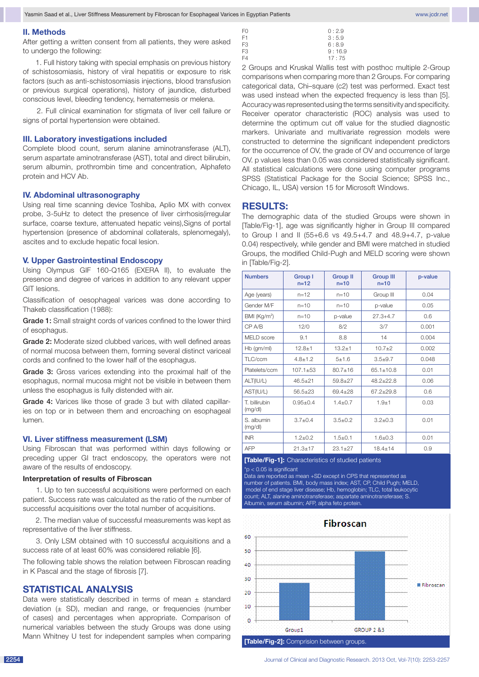#### **II. Methods**

After getting a written consent from all patients, they were asked to undergo the following:

 1. Full history taking with special emphasis on previous history of schistosomiasis, history of viral hepatitis or exposure to risk factors (such as anti-schistosomiasis injections, blood transfusion or previous surgical operations), history of jaundice, disturbed conscious level, bleeding tendency, hematemesis or melena.

 2. Full clinical examination for stigmata of liver cell failure or signs of portal hypertension were obtained.

#### **III. Laboratory investigations included**

Complete blood count, serum alanine aminotransferase (ALT), serum aspartate aminotransferase (AST), total and direct bilirubin, serum albumin, prothrombin time and concentration, Alphafeto protein and HCV Ab.

#### **IV. Abdominal ultrasonography**

Using real time scanning device Toshiba, Aplio MX with convex probe, 3-5uHz to detect the presence of liver cirrhosis(irregular surface, coarse texture, attenuated hepatic veins),Signs of portal hypertension (presence of abdominal collaterals, splenomegaly), ascites and to exclude hepatic focal lesion.

## **V. Upper Gastrointestinal Endoscopy**

Using Olympus GIF 160-Q165 (EXERA II), to evaluate the presence and degree of varices in addition to any relevant upper GIT lesions.

Classification of oesophageal varices was done according to Thakeb classification (1988):

Grade 1: Small straight cords of varices confined to the lower third of esophagus.

Grade 2: Moderate sized clubbed varices, with well defined areas of normal mucosa between them, forming several distinct variceal cords and confined to the lower half of the esophagus.

Grade 3: Gross varices extending into the proximal half of the esophagus, normal mucosa might not be visible in between them unless the esophagus is fully distended with air.

Grade 4: Varices like those of grade 3 but with dilated capillaries on top or in between them and encroaching on esophageal lumen.

### **VI. Liver stiffness measurement (LSM)**

Using Fibroscan that was performed within days following or preceding upper GI tract endoscopy, the operators were not aware of the results of endoscopy.

## **Interpretation of results of Fibroscan**

 1. Up to ten successful acquisitions were performed on each patient. Success rate was calculated as the ratio of the number of successful acquisitions over the total number of acquisitions.

 2. The median value of successful measurements was kept as representative of the liver stiffness.

 3. Only LSM obtained with 10 successful acquisitions and a success rate of at least 60% was considered reliable [6].

The following table shows the relation between Fibroscan reading in K Pascal and the stage of fibrosis [7].

## **STATISTICAL ANALYSIS**

Data were statistically described in terms of mean  $\pm$  standard deviation  $(\pm$  SD), median and range, or frequencies (number of cases) and percentages when appropriate. Comparison of numerical variables between the study Groups was done using Mann Whitney U test for independent samples when comparing

| F0 | 0:2.9  |
|----|--------|
| F1 | 3:5.9  |
| F3 | 6:8.9  |
| F3 | 9:16.9 |
| F4 | 17:75  |

2 Groups and Kruskal Wallis test with posthoc multiple 2-Group comparisons when comparing more than 2 Groups. For comparing categorical data, Chi–square (c2) test was performed. Exact test was used instead when the expected frequency is less than [5]. Accuracy was represented using the terms sensitivity and specificity. Receiver operator characteristic (ROC) analysis was used to determine the optimum cut off value for the studied diagnostic markers. Univariate and multivariate regression models were constructed to determine the significant independent predictors for the occurrence of OV, the grade of OV and occurrence of large OV. p values less than 0.05 was considered statistically significant. All statistical calculations were done using computer programs SPSS (Statistical Package for the Social Science; SPSS Inc., Chicago, IL, USA) version 15 for Microsoft Windows.

## **Results:**

The demographic data of the studied Groups were shown in [Table/Fig-1], age was significantly higher in Group III compared to Group I and II (55+6.6 vs 49.5+4.7 and 48.9+4.7, p-value 0.04) respectively, while gender and BMI were matched in studied Groups, the modified Child-Pugh and MELD scoring were shown in [Table/Fig-2].

| <b>Numbers</b>           | Group I<br>$n = 12$ | <b>Group II</b><br>$n=10$ | <b>Group III</b><br>$n=10$ | p-value |
|--------------------------|---------------------|---------------------------|----------------------------|---------|
| Age (years)              | $n = 12$            | $n = 10$                  | Group III                  | 0.04    |
| Gender M/F               | $n = 10$            | $n = 10$                  | p-value                    | 0.05    |
| BMI (Kg/m <sup>2</sup> ) | $n = 10$            | p-value                   | $27.3 + 4.7$               | 0.6     |
| CP A/B                   | 12/0                | 8/2                       | 3/7                        | 0.001   |
| MELD score               | 9.1                 | 8.8                       | 14                         | 0.004   |
| Hb (gm/ml)               | $12.8 + 1$          | $13.2 + 1$                | $10.7 + 2$                 | 0.002   |
| TLC/ccm                  | $4.8 + 1.2$         | $5 + 1.6$                 | $3.5 + 9.7$                | 0.048   |
| Platelets/ccm            | $107.1 + 53$        | $80.7 + 16$               | $65.1 + 10.8$              | 0.01    |
| ALT(IU/L)                | $46.5 + 21$         | $59.8 + 27$               | $48.2 + 22.8$              | 0.06    |
| AST(IU/L)                | $56.5 + 23$         | 69.4+28                   | $67.2 + 29.8$              | 0.6     |
| T. billirubin<br>(mg/dl) | $0.95 + 0.4$        | $1.4 + 0.7$               | $1.9 + 1$                  | 0.03    |
| S. albumin<br>(mg/dl)    | $3.7 + 0.4$         | $3.5 + 0.2$               | $3.2 + 0.3$                | 0.01    |
| IN <sub>R</sub>          | $1.2 \pm 0.2$       | $1.5 \pm 0.1$             | $1.6 \pm 0.3$              | 0.01    |
| <b>AFP</b>               | $21.3 \pm 17$       | $23.1 \pm 27$             | $18.4 + 14$                | 0.9     |

**[Table/Fig-1]:** Characteristics of studied patients

## $p < 0.05$  is significant

Data are reported as mean +SD except in CPS that represented as number of patients. BMI, body mass index; AST, CP, Child Pugh; MELD, model of end stage liver disease; Hb, hemoglobin; TLC, total leukocytic count; ALT, alanine aminotransferase; aspartate aminotransferase; S. Albumin, serum albumin; AFP, alpha feto protein.

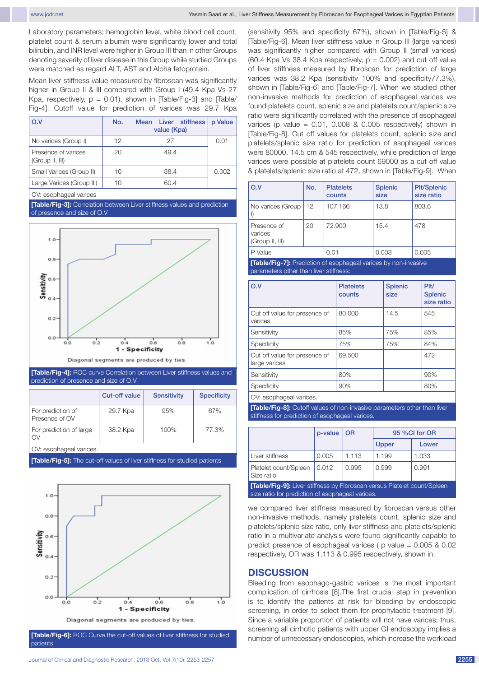Laboratory parameters; hemoglobin level, white blood cell count, platelet count & serum albumin were significantly lower and total bilirubin, and INR level were higher in Group III than in other Groups denoting severity of liver disease in this Group while studied Groups were matched as regard ALT, AST and Alpha fetoprotein.

Mean liver stiffness value measured by fibroscan was significantly higher in Group II & III compared with Group I (49.4 Kpa Vs 27 Kpa, respectively,  $p = 0.01$ ), shown in [Table/Fig-3] and [Table/ Fig-4]. Cutoff value for prediction of varices was 29.7 Kpa

| $\overline{O}$ O.V                     | No. | Liver stiffness<br><b>Mean</b><br>value (Kpa) | p Value |
|----------------------------------------|-----|-----------------------------------------------|---------|
| No varices (Group I)                   | 12  | 27                                            | 0.01    |
| Presence of varices<br>(Group II, III) | 20  | 49.4                                          |         |
| Small Varices (Group II)               | 10  | 38.4                                          | 0.002   |
| Large Varices (Group III)              | 10  | 60.4                                          |         |

OV: esophageal varices

**[Table/Fig-3]:** Correlation between Liver stiffness values and prediction of presence and size of O.V



**[Table/Fig-4]:** ROC curve Correlation between Liver stiffness values and prediction of presence and size of O.V

|                                     | <b>Cut-off value</b> | <b>Sensitivity</b> | <b>Specificity</b> |
|-------------------------------------|----------------------|--------------------|--------------------|
| For prediction of<br>Presence of OV | 29.7 Kpa             | 95%                | 67%                |
| For prediction of large<br>OV       | 38.2 Kpa             | 100%               | 77.3%              |
| OV: esophageal varices.             |                      |                    |                    |

**[Table/Fig-5]:** The cut-off values of liver stiffness for studied patients



Diagonal segments are produced by ties.

**[Table/Fig-6]:** ROC Curve the cut-off values of liver stiffness for studied patients

Journal of Clinical and Diagnostic Research. 2013 Oct. Vol-7(10): 2253-2257 2255

(sensitivity 95% and specificity 67%), shown in [Table/Fig-5] & [Table/Fig-6]. Mean liver stiffness value in Group III (large varices) was significantly higher compared with Group II (small varices) (60.4 Kpa Vs 38.4 Kpa respectively,  $p = 0.002$ ) and cut off value of liver stiffness measured by fibroscan for prediction of large varices was 38.2 Kpa (sensitivity 100% and specificity77.3%), shown in [Table/Fig-6] and [Table/Fig-7]. When we studied other non-invasive methods for prediction of esophageal varices we found platelets count, splenic size and platelets count/splenic size ratio were significantly correlated with the presence of esophageal varices (p value =  $0.01$ ,  $0.008$  &  $0.005$  respectively) shown in [Table/Fig-8]. Cut off values for platelets count, splenic size and platelets/splenic size ratio for prediction of esophageal varices were 80000, 14.5 cm & 545 respectively, while prediction of large varices were possible at platelets count 69000 as a cut off value & platelets/splenic size ratio at 472, shown in [Table/Fig-9]. When

| O.V                                       | No. | <b>Platelets</b><br>counts | <b>Splenic</b><br>size | <b>Plt/Splenic</b><br>size ratio |
|-------------------------------------------|-----|----------------------------|------------------------|----------------------------------|
| No varices (Group                         | 12  | 107.166                    | 13.8                   | 803.6                            |
| Presence of<br>varices<br>(Group II, III) | 20  | 72.900                     | 15.4                   | 478                              |
| P Value                                   |     | 0.01                       | 0.008                  | 0.005                            |

**[Table/Fig-7]:** Prediction of esophageal varices by non-invasive parameters other than liver stiffness:

| O.V                                            | <b>Platelets</b><br>counts | <b>Splenic</b><br>size | Plt/<br><b>Splenic</b><br>size ratio |
|------------------------------------------------|----------------------------|------------------------|--------------------------------------|
| Cut off value for presence of<br>varices       | 80,000                     | 14.5                   | 545                                  |
| Sensitivity                                    | 85%                        | 75%                    | 85%                                  |
| Specificity                                    | 75%                        | 75%                    | 84%                                  |
| Cut off value for presence of<br>large varices | 69.500                     |                        | 472                                  |
| Sensitivity                                    | 80%                        |                        | 90%                                  |
| Specificity                                    | 90%                        |                        | 80%                                  |
| Olli osophoqool varioos                        |                            |                        |                                      |

OV: esophageal varices.

**[Table/Fig-8]:** Cutoff values of non-invasive parameters other than liver stiffness for prediction of esophageal varices.

|                                                                                                                                     | p-value | <b>OR</b> | 95 %CI for OR |       |
|-------------------------------------------------------------------------------------------------------------------------------------|---------|-----------|---------------|-------|
|                                                                                                                                     |         |           | <b>Upper</b>  | Lower |
| Liver stiffness                                                                                                                     | 0.005   | 1.113     | 1.199         | 1.033 |
| Platelet count/Spleen<br>Size ratio                                                                                                 | 0.012   | 0.995     | 0.999         | 0.991 |
| <b>[Table/Fig-9]:</b> Liver stiffness by Fibroscan versus Platelet count/Spleen<br>size ratio for prediction of esophageal varices. |         |           |               |       |

we compared liver stiffness measured by fibroscan versus other non-invasive methods, namely platelets count, splenic size and platelets/splenic size ratio, only liver stiffness and platelets/splenic ratio in a multivariate analysis were found significantly capable to predict presence of esophageal varices ( p value = 0.005 & 0.02 respectively, OR was 1.113 & 0.995 respectively, shown in.

## **Discussion**

Bleeding from esophago-gastric varices is the most important complication of cirrhosis [8].The first crucial step in prevention is to identify the patients at risk for bleeding by endoscopic screening, in order to select them for prophylactic treatment [9]. Since a variable proportion of patients will not have varices; thus, screening all cirrhotic patients with upper GI endoscopy implies a number of unnecessary endoscopies, which increase the workload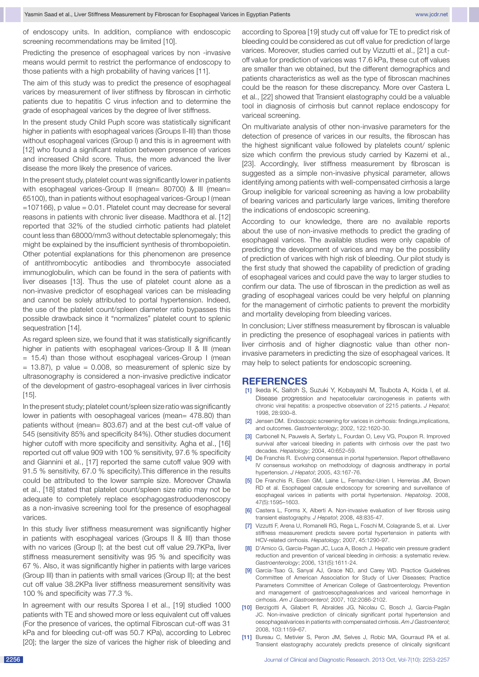of endoscopy units. In addition, compliance with endoscopic screening recommendations may be limited [10].

Predicting the presence of esophageal varices by non -invasive means would permit to restrict the performance of endoscopy to those patients with a high probability of having varices [11].

The aim of this study was to predict the presence of esophageal varices by measurement of liver stiffness by fibroscan in cirrhotic patients due to hepatitis C virus infection and to determine the grade of esophageal varices by the degree of liver stiffness.

In the present study Child Puph score was statistically significant higher in patients with esophageal varices (Groups II-III) than those without esophageal varices (Group I) and this is in agreement with [12] who found a significant relation between presence of varices and increased Child score. Thus, the more advanced the liver disease the more likely the presence of varices.

In the present study, platelet count was significantly lower in patients with esophageal varices-Group II (mean= 80700) & III (mean= 65100), than in patients without esophageal varices-Group I (mean  $=107166$ ), p value  $= 0.01$ . Platelet count may decrease for several reasons in patients with chronic liver disease. Madthora et al. [12] reported that 32% of the studied cirrhotic patients had platelet count less than 68000/mm3 without detectable splenomegaly; this might be explained by the insufficient synthesis of thrombopoietin. Other potential explanations for this phenomenon are presence of antithrombocytic antibodies and thrombocyte associated immunoglobulin, which can be found in the sera of patients with liver diseases [13]. Thus the use of platelet count alone as a non-invasive predictor of esophageal varices can be misleading and cannot be solely attributed to portal hypertension. Indeed, the use of the platelet count/spleen diameter ratio bypasses this possible drawback since it "normalizes" platelet count to splenic sequestration [14].

As regard spleen size, we found that it was statistically significantly higher in patients with esophageal varices-Group II & III (mean = 15.4) than those without esophageal varices-Group I (mean  $= 13.87$ ), p value  $= 0.008$ , so measurement of splenic size by ultrasonography is considered a non-invasive predictive indicator of the development of gastro-esophageal varices in liver cirrhosis [15].

In the present study; platelet count/spleen size ratio was significantly lower in patients with oesophageal varices (mean= 478.80) than patients without (mean= 803.67) and at the best cut-off value of 545 (sensitivity 85% and specificity 84%). Other studies document higher cutoff with more specificity and sensitivity. Agha et al., [16] reported cut off value 909 with 100 % sensitivity, 97.6 % specificity and Giannini et al., [17] reported the same cutoff value 909 with 91.5 % sensitivity, 67.0 % specificity).This difference in the results could be attributed to the lower sample size. Moreover Chawla et al., [18] stated that platelet count/spleen size ratio may not be adequate to completely replace esophagogastroduodenoscopy as a non-invasive screening tool for the presence of esophageal varices.

In this study liver stiffness measurement was significantly higher in patients with esophageal varices (Groups II & III) than those with no varices (Group I); at the best cut off value 29.7KPa, liver stiffness measurement sensitivity was 95 % and specificity was 67 %. Also, it was significantly higher in patients with large varices (Group III) than in patients with small varices (Group II); at the best cut off value 38.2KPa liver stiffness measurement sensitivity was 100 % and specificity was 77.3 %.

In agreement with our results Sporea I et al., [19] studied 1000 patients with TE and showed more or less equivalent cut off values (For the presence of varices, the optimal Fibroscan cut-off was 31 kPa and for bleeding cut-off was 50.7 KPa), according to Lebrec [20]; the larger the size of varices the higher risk of bleeding and according to Sporea [19] study cut off value for TE to predict risk of bleeding could be considered as cut off value for prediction of large varices. Moreover, studies carried out by Vizzutti et al., [21] a cutoff value for prediction of varices was 17.6 kPa, these cut off values are smaller than we obtained, but the different demographics and patients characteristics as well as the type of fibroscan machines could be the reason for these discrepancy. More over Castera L et al., [22] showed that Transient elastography could be a valuable tool in diagnosis of cirrhosis but cannot replace endoscopy for variceal screening.

On multivariate analysis of other non-invasive parameters for the detection of presence of varices in our results, the fibroscan has the highest significant value followed by platelets count/ splenic size which confirm the previous study carried by Kazemi et al., [23]. Accordingly, liver stiffness measurement by fibroscan is suggested as a simple non-invasive physical parameter, allows identifying among patients with well-compensated cirrhosis a large Group ineligible for variceal screening as having a low probability of bearing varices and particularly large varices, limiting therefore the indications of endoscopic screening.

According to our knowledge, there are no available reports about the use of non-invasive methods to predict the grading of esophageal varices. The available studies were only capable of predicting the development of varices and may be the possibility of prediction of varices with high risk of bleeding. Our pilot study is the first study that showed the capability of prediction of grading of esophageal varices and could pave the way to larger studies to confirm our data. The use of fibroscan in the prediction as well as grading of esophageal varices could be very helpful on planning for the management of cirrhotic patients to prevent the morbidity and mortality developing from bleeding varices.

In conclusion; Liver stiffness measurement by fibroscan is valuable in predicting the presence of esophageal varices in patients with liver cirrhosis and of higher diagnostic value than other noninvasive parameters in predicting the size of esophageal varices. It may help to select patients for endoscopic screening.

### **References**

- [1] Ikeda K, Saitoh S, Suzuki Y, Kobayashi M, Tsubota A, Koida I, et al. Disease progression and hepatocellular carcinogenesis in patients with chronic viral hepatitis: a prospective observation of 2215 patients. *J Hepatol*; 1998, 28:930–8.
- [2] Jensen DM. Endoscopic screening for varices in cirrhosis: findings,implications, and outcomes. *Gastroenterology*; 2002, 122:1620-30.
- [3] Carbonell N, Pauwels A, Serfaty L, Fourdan O, Levy VG, Poupon R. Improved survival after variceal bleeding in patients with cirrhosis over the past two decades. *Hepatology*; 2004, 40:652–59.
- [4] De Franchis R. Evolving consensus in portal hypertension. Report oftheBaveno IV consensus workshop on methodology of diagnosis andtherapy in portal hypertension. *J Hepatol*; 2005, 43:167-76.
- [5] De Franchis R, Eisen GM, Laine L, Fernandez-Urien I, Herrerias JM, Brown RD et al. Esophageal capsule endoscopy for screening and surveillance of esophageal varices in patients with portal hypertension. *Hepatolog*. 2008, 47(5):1595–1603.
- [6] Castera L, Forms X, Alberti A. Non-invasive evaluation of liver fibrosis using transient elastography. *J Hepatol*; 2008, 48:835-47.
- [7] Vizzutti F, Arena U, Romanelli RG, Rega L, Foschi M, Colagrande S, et al. Liver stiffness measurement predicts severe portal hypertension in patients with HCV-related cirrhosis. *Hepatology*; 2007, 45:1290-97.
- [8] D'Amico G, Garcia-Pagan JC, Luca A, Bosch J. Hepatic vein pressure gradient reduction and prevention of variceal bleeding in cirrhosis: a systematic review. *Gastroenterology*; 2006, 131(5):1611-24.
- [9] Garcia-Tsao G, Sanyal AJ, Grace ND, and Carey WD. Practice Guidelines Committee of American Association for Study of Liver Diseases; Practice Parameters Committee of American College of Gastroenterology. Prevention and management of gastroesophagealvarices and variceal hemorrhage in cirrhosis. *Am J Gastroenterol*; 2007, 102:2086-2102.
- [10] Berzigotti A, Gilabert R, Abraldes JG, Nicolau C, Bosch J, Garcia-Pagàn JC. Non-invasive prediction of clinically significant portal hypertension and oesophagealvarices in patients with compensated cirrhosis. *Am J Gastroenterol*; 2008, 103:1159–67.
- [11] Bureau C, Metivier S, Peron JM, Selves J, Robic MA, Gourraud PA et al. Transient elastography accurately predicts presence of clinically significant